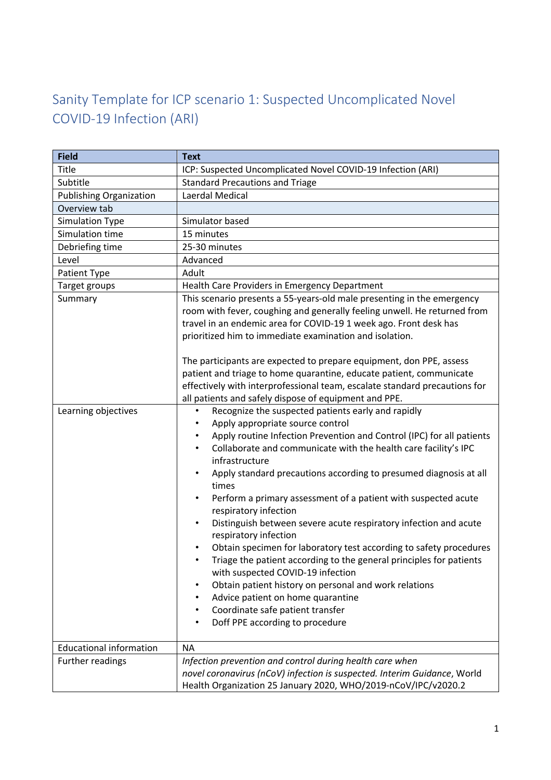## Sanity Template for ICP scenario 1: Suspected Uncomplicated Novel COVID-19 Infection (ARI)

| <b>Field</b>                   | <b>Text</b>                                                                                                                                                                                                                                                                                                                                                                                                                                                                                                                                                                                                                                                                                                                                                                                                                                                |
|--------------------------------|------------------------------------------------------------------------------------------------------------------------------------------------------------------------------------------------------------------------------------------------------------------------------------------------------------------------------------------------------------------------------------------------------------------------------------------------------------------------------------------------------------------------------------------------------------------------------------------------------------------------------------------------------------------------------------------------------------------------------------------------------------------------------------------------------------------------------------------------------------|
| <b>Title</b>                   | ICP: Suspected Uncomplicated Novel COVID-19 Infection (ARI)                                                                                                                                                                                                                                                                                                                                                                                                                                                                                                                                                                                                                                                                                                                                                                                                |
| Subtitle                       | <b>Standard Precautions and Triage</b>                                                                                                                                                                                                                                                                                                                                                                                                                                                                                                                                                                                                                                                                                                                                                                                                                     |
| <b>Publishing Organization</b> | Laerdal Medical                                                                                                                                                                                                                                                                                                                                                                                                                                                                                                                                                                                                                                                                                                                                                                                                                                            |
| Overview tab                   |                                                                                                                                                                                                                                                                                                                                                                                                                                                                                                                                                                                                                                                                                                                                                                                                                                                            |
| Simulation Type                | Simulator based                                                                                                                                                                                                                                                                                                                                                                                                                                                                                                                                                                                                                                                                                                                                                                                                                                            |
| Simulation time                | 15 minutes                                                                                                                                                                                                                                                                                                                                                                                                                                                                                                                                                                                                                                                                                                                                                                                                                                                 |
| Debriefing time                | 25-30 minutes                                                                                                                                                                                                                                                                                                                                                                                                                                                                                                                                                                                                                                                                                                                                                                                                                                              |
| Level                          | Advanced                                                                                                                                                                                                                                                                                                                                                                                                                                                                                                                                                                                                                                                                                                                                                                                                                                                   |
| Patient Type                   | Adult                                                                                                                                                                                                                                                                                                                                                                                                                                                                                                                                                                                                                                                                                                                                                                                                                                                      |
| Target groups                  | Health Care Providers in Emergency Department                                                                                                                                                                                                                                                                                                                                                                                                                                                                                                                                                                                                                                                                                                                                                                                                              |
| Summary                        | This scenario presents a 55-years-old male presenting in the emergency<br>room with fever, coughing and generally feeling unwell. He returned from<br>travel in an endemic area for COVID-19 1 week ago. Front desk has<br>prioritized him to immediate examination and isolation.<br>The participants are expected to prepare equipment, don PPE, assess<br>patient and triage to home quarantine, educate patient, communicate<br>effectively with interprofessional team, escalate standard precautions for<br>all patients and safely dispose of equipment and PPE.                                                                                                                                                                                                                                                                                    |
| Learning objectives            | Recognize the suspected patients early and rapidly<br>$\bullet$                                                                                                                                                                                                                                                                                                                                                                                                                                                                                                                                                                                                                                                                                                                                                                                            |
|                                | Apply appropriate source control<br>Apply routine Infection Prevention and Control (IPC) for all patients<br>$\bullet$<br>Collaborate and communicate with the health care facility's IPC<br>infrastructure<br>Apply standard precautions according to presumed diagnosis at all<br>times<br>Perform a primary assessment of a patient with suspected acute<br>$\bullet$<br>respiratory infection<br>Distinguish between severe acute respiratory infection and acute<br>respiratory infection<br>Obtain specimen for laboratory test according to safety procedures<br>Triage the patient according to the general principles for patients<br>٠<br>with suspected COVID-19 infection<br>Obtain patient history on personal and work relations<br>Advice patient on home quarantine<br>Coordinate safe patient transfer<br>Doff PPE according to procedure |
| <b>Educational information</b> | <b>NA</b>                                                                                                                                                                                                                                                                                                                                                                                                                                                                                                                                                                                                                                                                                                                                                                                                                                                  |
| Further readings               | Infection prevention and control during health care when<br>novel coronavirus (nCoV) infection is suspected. Interim Guidance, World<br>Health Organization 25 January 2020, WHO/2019-nCoV/IPC/v2020.2                                                                                                                                                                                                                                                                                                                                                                                                                                                                                                                                                                                                                                                     |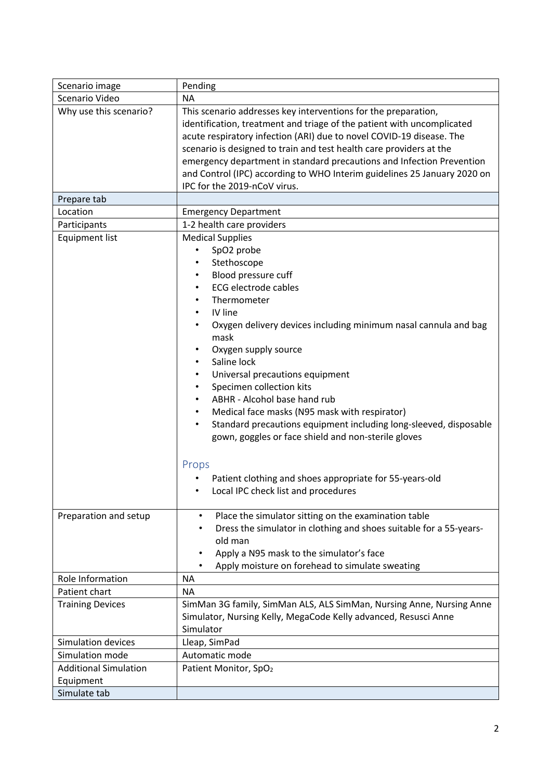| Scenario image               | Pending                                                                                                                                                                                                                                                                                                                                                                                                                                                                                                                                         |
|------------------------------|-------------------------------------------------------------------------------------------------------------------------------------------------------------------------------------------------------------------------------------------------------------------------------------------------------------------------------------------------------------------------------------------------------------------------------------------------------------------------------------------------------------------------------------------------|
| Scenario Video               | <b>NA</b>                                                                                                                                                                                                                                                                                                                                                                                                                                                                                                                                       |
| Why use this scenario?       | This scenario addresses key interventions for the preparation,<br>identification, treatment and triage of the patient with uncomplicated<br>acute respiratory infection (ARI) due to novel COVID-19 disease. The<br>scenario is designed to train and test health care providers at the<br>emergency department in standard precautions and Infection Prevention<br>and Control (IPC) according to WHO Interim guidelines 25 January 2020 on<br>IPC for the 2019-nCoV virus.                                                                    |
| Prepare tab                  |                                                                                                                                                                                                                                                                                                                                                                                                                                                                                                                                                 |
| Location                     | <b>Emergency Department</b>                                                                                                                                                                                                                                                                                                                                                                                                                                                                                                                     |
| Participants                 | 1-2 health care providers                                                                                                                                                                                                                                                                                                                                                                                                                                                                                                                       |
| <b>Equipment list</b>        | <b>Medical Supplies</b><br>SpO2 probe<br>Stethoscope<br>Blood pressure cuff<br><b>ECG electrode cables</b><br>Thermometer<br>IV line<br>Oxygen delivery devices including minimum nasal cannula and bag<br>mask<br>Oxygen supply source<br>Saline lock<br>Universal precautions equipment<br>Specimen collection kits<br>ABHR - Alcohol base hand rub<br>Medical face masks (N95 mask with respirator)<br>Standard precautions equipment including long-sleeved, disposable<br>$\bullet$<br>gown, goggles or face shield and non-sterile gloves |
|                              | Props<br>Patient clothing and shoes appropriate for 55-years-old<br>Local IPC check list and procedures                                                                                                                                                                                                                                                                                                                                                                                                                                         |
| Preparation and setup        | Place the simulator sitting on the examination table<br>Dress the simulator in clothing and shoes suitable for a 55-years-<br>old man<br>Apply a N95 mask to the simulator's face<br>$\bullet$<br>Apply moisture on forehead to simulate sweating                                                                                                                                                                                                                                                                                               |
| Role Information             | <b>NA</b>                                                                                                                                                                                                                                                                                                                                                                                                                                                                                                                                       |
| Patient chart                | <b>NA</b>                                                                                                                                                                                                                                                                                                                                                                                                                                                                                                                                       |
| <b>Training Devices</b>      | SimMan 3G family, SimMan ALS, ALS SimMan, Nursing Anne, Nursing Anne<br>Simulator, Nursing Kelly, MegaCode Kelly advanced, Resusci Anne<br>Simulator                                                                                                                                                                                                                                                                                                                                                                                            |
| Simulation devices           | Lleap, SimPad                                                                                                                                                                                                                                                                                                                                                                                                                                                                                                                                   |
| Simulation mode              | Automatic mode                                                                                                                                                                                                                                                                                                                                                                                                                                                                                                                                  |
| <b>Additional Simulation</b> | Patient Monitor, SpO <sub>2</sub>                                                                                                                                                                                                                                                                                                                                                                                                                                                                                                               |
| Equipment                    |                                                                                                                                                                                                                                                                                                                                                                                                                                                                                                                                                 |
| Simulate tab                 |                                                                                                                                                                                                                                                                                                                                                                                                                                                                                                                                                 |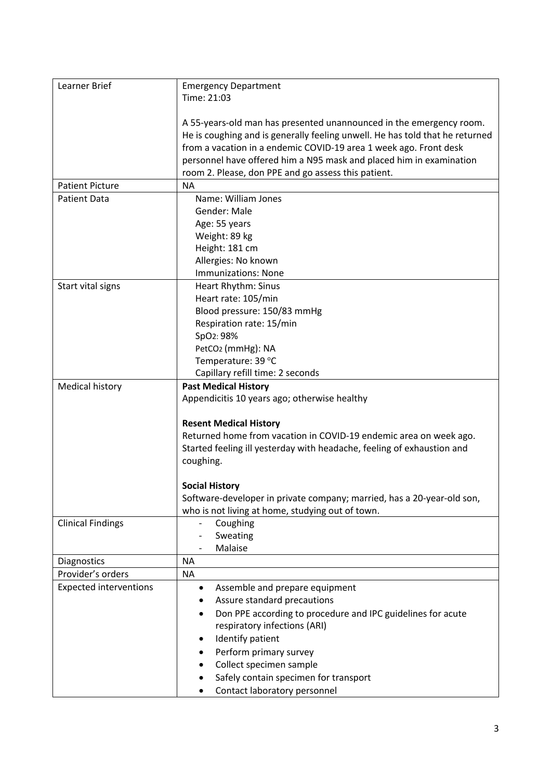| Learner Brief                 | <b>Emergency Department</b>                                                  |
|-------------------------------|------------------------------------------------------------------------------|
|                               |                                                                              |
|                               | Time: 21:03                                                                  |
|                               |                                                                              |
|                               | A 55-years-old man has presented unannounced in the emergency room.          |
|                               | He is coughing and is generally feeling unwell. He has told that he returned |
|                               | from a vacation in a endemic COVID-19 area 1 week ago. Front desk            |
|                               |                                                                              |
|                               | personnel have offered him a N95 mask and placed him in examination          |
|                               | room 2. Please, don PPE and go assess this patient.                          |
| <b>Patient Picture</b>        | <b>NA</b>                                                                    |
| <b>Patient Data</b>           | Name: William Jones                                                          |
|                               | Gender: Male                                                                 |
|                               | Age: 55 years                                                                |
|                               |                                                                              |
|                               | Weight: 89 kg                                                                |
|                               | Height: 181 cm                                                               |
|                               | Allergies: No known                                                          |
|                               | <b>Immunizations: None</b>                                                   |
| Start vital signs             | Heart Rhythm: Sinus                                                          |
|                               | Heart rate: 105/min                                                          |
|                               | Blood pressure: 150/83 mmHg                                                  |
|                               |                                                                              |
|                               | Respiration rate: 15/min                                                     |
|                               | SpO2: 98%                                                                    |
|                               | PetCO <sub>2</sub> (mmHg): NA                                                |
|                               | Temperature: 39 °C                                                           |
|                               | Capillary refill time: 2 seconds                                             |
| <b>Medical history</b>        | <b>Past Medical History</b>                                                  |
|                               | Appendicitis 10 years ago; otherwise healthy                                 |
|                               |                                                                              |
|                               |                                                                              |
|                               | <b>Resent Medical History</b>                                                |
|                               | Returned home from vacation in COVID-19 endemic area on week ago.            |
|                               | Started feeling ill yesterday with headache, feeling of exhaustion and       |
|                               | coughing.                                                                    |
|                               |                                                                              |
|                               | <b>Social History</b>                                                        |
|                               |                                                                              |
|                               | Software-developer in private company; married, has a 20-year-old son,       |
|                               | who is not living at home, studying out of town.                             |
| <b>Clinical Findings</b>      | Coughing                                                                     |
|                               | Sweating                                                                     |
|                               | Malaise                                                                      |
| Diagnostics                   | <b>NA</b>                                                                    |
| Provider's orders             | <b>NA</b>                                                                    |
|                               |                                                                              |
| <b>Expected interventions</b> | Assemble and prepare equipment<br>$\bullet$                                  |
|                               | Assure standard precautions                                                  |
|                               | Don PPE according to procedure and IPC guidelines for acute<br>٠             |
|                               | respiratory infections (ARI)                                                 |
|                               | Identify patient<br>٠                                                        |
|                               |                                                                              |
|                               | Perform primary survey                                                       |
|                               | Collect specimen sample                                                      |
|                               | Safely contain specimen for transport                                        |
|                               | Contact laboratory personnel                                                 |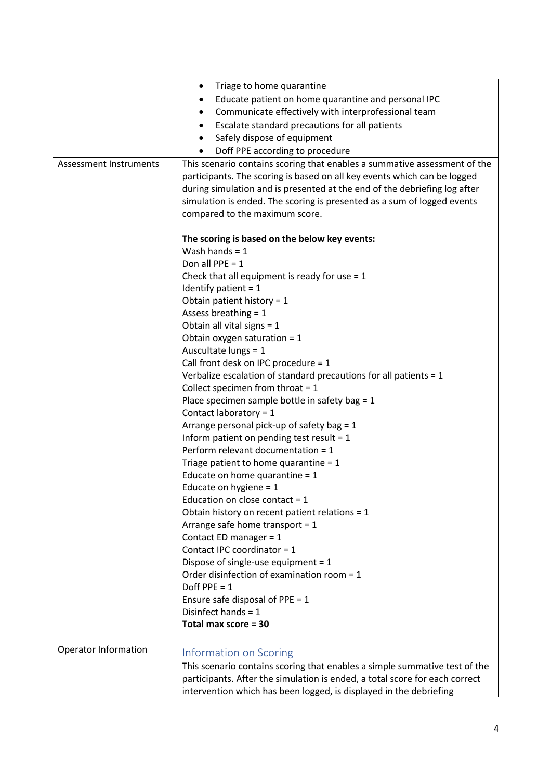|                               | Triage to home quarantine<br>$\bullet$                                                                                                                                                                                                                                                                                                                                                                                                                                                                                                                                                                                                                                                                                                                                                                                                                                                                                                                                                                                                                                                                |
|-------------------------------|-------------------------------------------------------------------------------------------------------------------------------------------------------------------------------------------------------------------------------------------------------------------------------------------------------------------------------------------------------------------------------------------------------------------------------------------------------------------------------------------------------------------------------------------------------------------------------------------------------------------------------------------------------------------------------------------------------------------------------------------------------------------------------------------------------------------------------------------------------------------------------------------------------------------------------------------------------------------------------------------------------------------------------------------------------------------------------------------------------|
|                               | Educate patient on home quarantine and personal IPC                                                                                                                                                                                                                                                                                                                                                                                                                                                                                                                                                                                                                                                                                                                                                                                                                                                                                                                                                                                                                                                   |
|                               | Communicate effectively with interprofessional team                                                                                                                                                                                                                                                                                                                                                                                                                                                                                                                                                                                                                                                                                                                                                                                                                                                                                                                                                                                                                                                   |
|                               | Escalate standard precautions for all patients                                                                                                                                                                                                                                                                                                                                                                                                                                                                                                                                                                                                                                                                                                                                                                                                                                                                                                                                                                                                                                                        |
|                               | Safely dispose of equipment                                                                                                                                                                                                                                                                                                                                                                                                                                                                                                                                                                                                                                                                                                                                                                                                                                                                                                                                                                                                                                                                           |
|                               | Doff PPE according to procedure                                                                                                                                                                                                                                                                                                                                                                                                                                                                                                                                                                                                                                                                                                                                                                                                                                                                                                                                                                                                                                                                       |
| <b>Assessment Instruments</b> | This scenario contains scoring that enables a summative assessment of the                                                                                                                                                                                                                                                                                                                                                                                                                                                                                                                                                                                                                                                                                                                                                                                                                                                                                                                                                                                                                             |
|                               | participants. The scoring is based on all key events which can be logged<br>during simulation and is presented at the end of the debriefing log after<br>simulation is ended. The scoring is presented as a sum of logged events                                                                                                                                                                                                                                                                                                                                                                                                                                                                                                                                                                                                                                                                                                                                                                                                                                                                      |
|                               | compared to the maximum score.                                                                                                                                                                                                                                                                                                                                                                                                                                                                                                                                                                                                                                                                                                                                                                                                                                                                                                                                                                                                                                                                        |
|                               | The scoring is based on the below key events:<br>Wash hands = $1$<br>Don all PPE = $1$<br>Check that all equipment is ready for use $= 1$<br>Identify patient = $1$<br>Obtain patient history = $1$<br>Assess breathing $= 1$<br>Obtain all vital signs = $1$<br>Obtain oxygen saturation = $1$<br>Auscultate lungs = 1<br>Call front desk on IPC procedure = 1<br>Verbalize escalation of standard precautions for all patients $= 1$<br>Collect specimen from throat $= 1$<br>Place specimen sample bottle in safety bag = 1<br>Contact laboratory = 1<br>Arrange personal pick-up of safety bag = $1$<br>Inform patient on pending test result = $1$<br>Perform relevant documentation = 1<br>Triage patient to home quarantine = $1$<br>Educate on home quarantine = $1$<br>Educate on hygiene = $1$<br>Education on close contact = $1$<br>Obtain history on recent patient relations = 1<br>Arrange safe home transport = $1$<br>Contact ED manager = 1<br>Contact IPC coordinator = 1<br>Dispose of single-use equipment = $1$<br>Order disinfection of examination room = 1<br>Doff PPE = $1$ |
|                               | Ensure safe disposal of PPE = $1$                                                                                                                                                                                                                                                                                                                                                                                                                                                                                                                                                                                                                                                                                                                                                                                                                                                                                                                                                                                                                                                                     |
|                               | Disinfect hands = $1$                                                                                                                                                                                                                                                                                                                                                                                                                                                                                                                                                                                                                                                                                                                                                                                                                                                                                                                                                                                                                                                                                 |
|                               | Total max score = 30                                                                                                                                                                                                                                                                                                                                                                                                                                                                                                                                                                                                                                                                                                                                                                                                                                                                                                                                                                                                                                                                                  |
|                               |                                                                                                                                                                                                                                                                                                                                                                                                                                                                                                                                                                                                                                                                                                                                                                                                                                                                                                                                                                                                                                                                                                       |
| Operator Information          | Information on Scoring                                                                                                                                                                                                                                                                                                                                                                                                                                                                                                                                                                                                                                                                                                                                                                                                                                                                                                                                                                                                                                                                                |
|                               | This scenario contains scoring that enables a simple summative test of the                                                                                                                                                                                                                                                                                                                                                                                                                                                                                                                                                                                                                                                                                                                                                                                                                                                                                                                                                                                                                            |
|                               | participants. After the simulation is ended, a total score for each correct                                                                                                                                                                                                                                                                                                                                                                                                                                                                                                                                                                                                                                                                                                                                                                                                                                                                                                                                                                                                                           |
|                               | intervention which has been logged, is displayed in the debriefing                                                                                                                                                                                                                                                                                                                                                                                                                                                                                                                                                                                                                                                                                                                                                                                                                                                                                                                                                                                                                                    |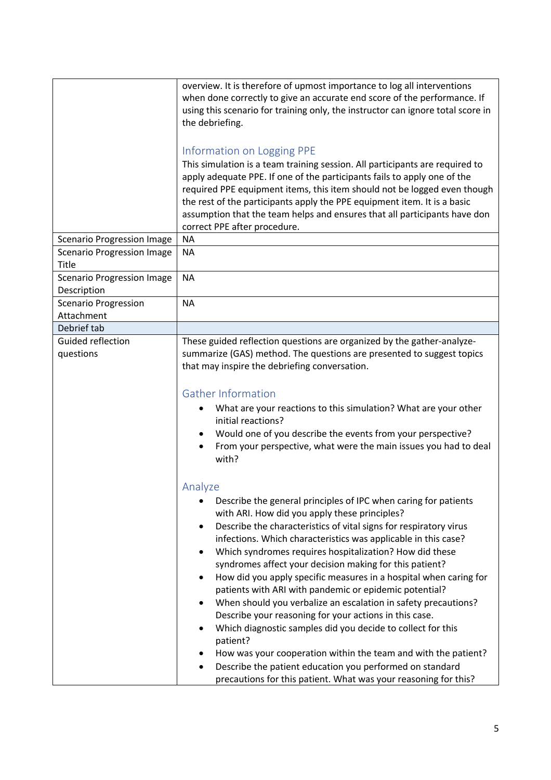|                                                                                                                      | overview. It is therefore of upmost importance to log all interventions<br>when done correctly to give an accurate end score of the performance. If<br>using this scenario for training only, the instructor can ignore total score in<br>the debriefing.                                                                                                                                                                                                                                                                                                                                                                                                                                                                                                                                                                                                                                                                                                        |
|----------------------------------------------------------------------------------------------------------------------|------------------------------------------------------------------------------------------------------------------------------------------------------------------------------------------------------------------------------------------------------------------------------------------------------------------------------------------------------------------------------------------------------------------------------------------------------------------------------------------------------------------------------------------------------------------------------------------------------------------------------------------------------------------------------------------------------------------------------------------------------------------------------------------------------------------------------------------------------------------------------------------------------------------------------------------------------------------|
| <b>Scenario Progression Image</b><br><b>Scenario Progression Image</b><br>Title<br><b>Scenario Progression Image</b> | Information on Logging PPE<br>This simulation is a team training session. All participants are required to<br>apply adequate PPE. If one of the participants fails to apply one of the<br>required PPE equipment items, this item should not be logged even though<br>the rest of the participants apply the PPE equipment item. It is a basic<br>assumption that the team helps and ensures that all participants have don<br>correct PPE after procedure.<br><b>NA</b><br><b>NA</b><br><b>NA</b>                                                                                                                                                                                                                                                                                                                                                                                                                                                               |
| Description                                                                                                          |                                                                                                                                                                                                                                                                                                                                                                                                                                                                                                                                                                                                                                                                                                                                                                                                                                                                                                                                                                  |
| <b>Scenario Progression</b>                                                                                          | <b>NA</b>                                                                                                                                                                                                                                                                                                                                                                                                                                                                                                                                                                                                                                                                                                                                                                                                                                                                                                                                                        |
| Attachment<br>Debrief tab                                                                                            |                                                                                                                                                                                                                                                                                                                                                                                                                                                                                                                                                                                                                                                                                                                                                                                                                                                                                                                                                                  |
| Guided reflection                                                                                                    |                                                                                                                                                                                                                                                                                                                                                                                                                                                                                                                                                                                                                                                                                                                                                                                                                                                                                                                                                                  |
| questions                                                                                                            | These guided reflection questions are organized by the gather-analyze-<br>summarize (GAS) method. The questions are presented to suggest topics<br>that may inspire the debriefing conversation.                                                                                                                                                                                                                                                                                                                                                                                                                                                                                                                                                                                                                                                                                                                                                                 |
|                                                                                                                      | <b>Gather Information</b>                                                                                                                                                                                                                                                                                                                                                                                                                                                                                                                                                                                                                                                                                                                                                                                                                                                                                                                                        |
|                                                                                                                      | What are your reactions to this simulation? What are your other<br>initial reactions?<br>Would one of you describe the events from your perspective?<br>From your perspective, what were the main issues you had to deal<br>with?                                                                                                                                                                                                                                                                                                                                                                                                                                                                                                                                                                                                                                                                                                                                |
|                                                                                                                      | Analyze                                                                                                                                                                                                                                                                                                                                                                                                                                                                                                                                                                                                                                                                                                                                                                                                                                                                                                                                                          |
|                                                                                                                      | Describe the general principles of IPC when caring for patients<br>$\bullet$<br>with ARI. How did you apply these principles?<br>Describe the characteristics of vital signs for respiratory virus<br>$\bullet$<br>infections. Which characteristics was applicable in this case?<br>Which syndromes requires hospitalization? How did these<br>syndromes affect your decision making for this patient?<br>How did you apply specific measures in a hospital when caring for<br>patients with ARI with pandemic or epidemic potential?<br>When should you verbalize an escalation in safety precautions?<br>Describe your reasoning for your actions in this case.<br>Which diagnostic samples did you decide to collect for this<br>٠<br>patient?<br>How was your cooperation within the team and with the patient?<br>Describe the patient education you performed on standard<br>$\bullet$<br>precautions for this patient. What was your reasoning for this? |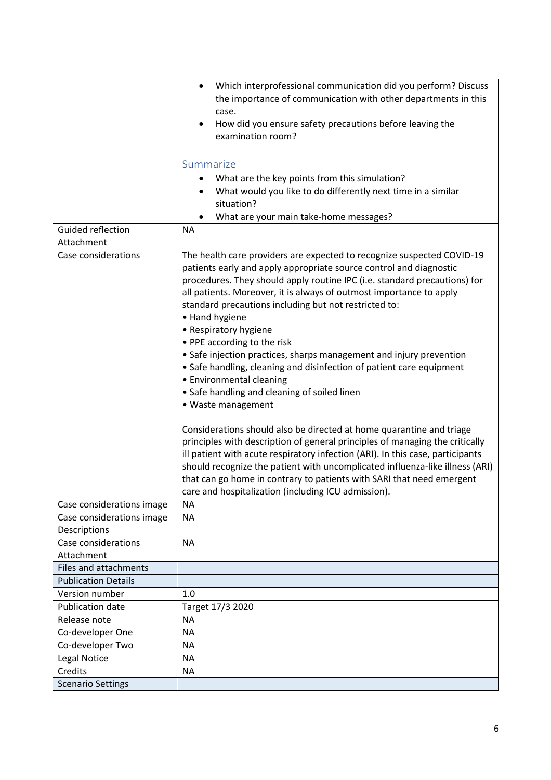|                                     | Which interprofessional communication did you perform? Discuss<br>$\bullet$    |
|-------------------------------------|--------------------------------------------------------------------------------|
|                                     | the importance of communication with other departments in this                 |
|                                     |                                                                                |
|                                     | case.                                                                          |
|                                     | How did you ensure safety precautions before leaving the<br>examination room?  |
|                                     |                                                                                |
|                                     |                                                                                |
|                                     | Summarize                                                                      |
|                                     | What are the key points from this simulation?                                  |
|                                     | What would you like to do differently next time in a similar                   |
|                                     | situation?                                                                     |
|                                     | What are your main take-home messages?                                         |
| Guided reflection                   | <b>NA</b>                                                                      |
| Attachment                          |                                                                                |
| Case considerations                 | The health care providers are expected to recognize suspected COVID-19         |
|                                     | patients early and apply appropriate source control and diagnostic             |
|                                     | procedures. They should apply routine IPC (i.e. standard precautions) for      |
|                                     | all patients. Moreover, it is always of outmost importance to apply            |
|                                     | standard precautions including but not restricted to:                          |
|                                     | • Hand hygiene                                                                 |
|                                     | • Respiratory hygiene                                                          |
|                                     | • PPE according to the risk                                                    |
|                                     | • Safe injection practices, sharps management and injury prevention            |
|                                     | • Safe handling, cleaning and disinfection of patient care equipment           |
|                                     | • Environmental cleaning                                                       |
|                                     | • Safe handling and cleaning of soiled linen                                   |
|                                     | • Waste management                                                             |
|                                     |                                                                                |
|                                     | Considerations should also be directed at home quarantine and triage           |
|                                     | principles with description of general principles of managing the critically   |
|                                     | ill patient with acute respiratory infection (ARI). In this case, participants |
|                                     | should recognize the patient with uncomplicated influenza-like illness (ARI)   |
|                                     | that can go home in contrary to patients with SARI that need emergent          |
|                                     | care and hospitalization (including ICU admission).                            |
| Case considerations image           | ΝA                                                                             |
| Case considerations image           | <b>NA</b>                                                                      |
| Descriptions<br>Case considerations | <b>NA</b>                                                                      |
| Attachment                          |                                                                                |
| Files and attachments               |                                                                                |
| <b>Publication Details</b>          |                                                                                |
| Version number                      | 1.0                                                                            |
| Publication date                    | Target 17/3 2020                                                               |
| Release note                        | <b>NA</b>                                                                      |
| Co-developer One                    | <b>NA</b>                                                                      |
| Co-developer Two                    | <b>NA</b>                                                                      |
| Legal Notice                        | <b>NA</b>                                                                      |
|                                     |                                                                                |
| Credits                             | <b>NA</b>                                                                      |
| <b>Scenario Settings</b>            |                                                                                |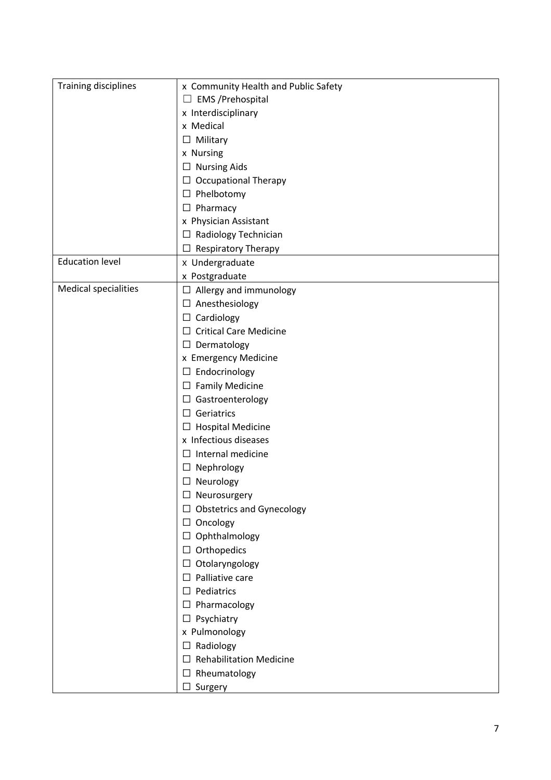| <b>Training disciplines</b> | x Community Health and Public Safety     |
|-----------------------------|------------------------------------------|
|                             | $\Box$ EMS /Prehospital                  |
|                             | x Interdisciplinary                      |
|                             | x Medical                                |
|                             | $\Box$ Military                          |
|                             | x Nursing                                |
|                             | $\Box$ Nursing Aids                      |
|                             | $\Box$ Occupational Therapy              |
|                             | $\Box$ Phelbotomy                        |
|                             | $\Box$ Pharmacy                          |
|                             | x Physician Assistant                    |
|                             | $\Box$ Radiology Technician              |
|                             | $\Box$ Respiratory Therapy               |
| <b>Education level</b>      | x Undergraduate                          |
|                             | x Postgraduate                           |
| <b>Medical specialities</b> | $\Box$ Allergy and immunology            |
|                             | $\Box$ Anesthesiology                    |
|                             | $\Box$ Cardiology                        |
|                             | $\Box$ Critical Care Medicine            |
|                             | $\Box$ Dermatology                       |
|                             | x Emergency Medicine                     |
|                             | $\Box$ Endocrinology                     |
|                             | $\Box$ Family Medicine                   |
|                             | $\Box$ Gastroenterology                  |
|                             | $\Box$ Geriatrics                        |
|                             | $\Box$ Hospital Medicine                 |
|                             | x Infectious diseases                    |
|                             | $\Box$ Internal medicine                 |
|                             | $\Box$ Nephrology                        |
|                             | $\Box$ Neurology                         |
|                             | $\Box$ Neurosurgery                      |
|                             | $\Box$ Obstetrics and Gynecology         |
|                             | $\Box$ Oncology                          |
|                             | $\Box$ Ophthalmology                     |
|                             | $\Box$ Orthopedics                       |
|                             | $\Box$ Otolaryngology                    |
|                             | $\Box$ Palliative care                   |
|                             | $\Box$ Pediatrics                        |
|                             | $\Box$ Pharmacology                      |
|                             | $\Box$ Psychiatry                        |
|                             | x Pulmonology                            |
|                             | $\Box$ Radiology                         |
|                             | <b>Rehabilitation Medicine</b><br>$\Box$ |
|                             | $\Box$ Rheumatology                      |
|                             | $\Box$ Surgery                           |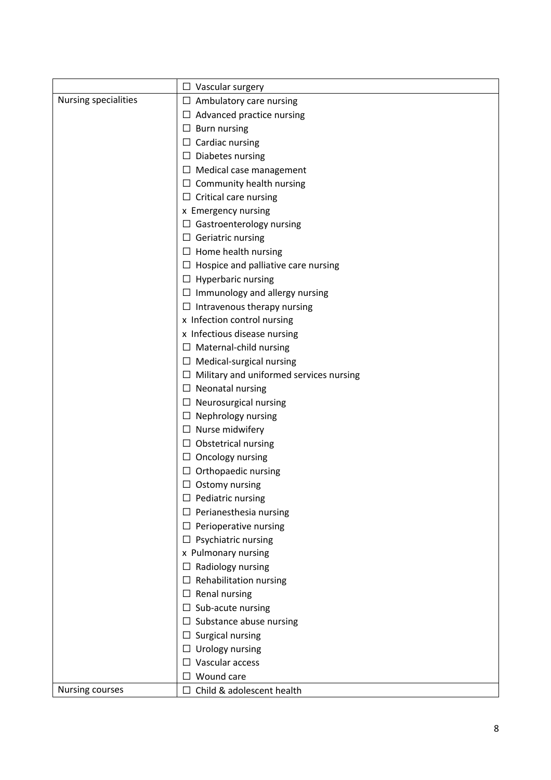|                      | $\Box$ Vascular surgery                        |
|----------------------|------------------------------------------------|
| Nursing specialities | $\Box$ Ambulatory care nursing                 |
|                      | $\Box$ Advanced practice nursing               |
|                      | $\Box$ Burn nursing                            |
|                      | $\Box$ Cardiac nursing                         |
|                      | $\Box$ Diabetes nursing                        |
|                      | $\Box$ Medical case management                 |
|                      | $\Box$ Community health nursing                |
|                      | $\Box$ Critical care nursing                   |
|                      | x Emergency nursing                            |
|                      | $\Box$ Gastroenterology nursing                |
|                      | $\Box$ Geriatric nursing                       |
|                      | $\Box$ Home health nursing                     |
|                      | $\Box$ Hospice and palliative care nursing     |
|                      | $\Box$ Hyperbaric nursing                      |
|                      | $\Box$ Immunology and allergy nursing          |
|                      | $\Box$ Intravenous therapy nursing             |
|                      | x Infection control nursing                    |
|                      | x Infectious disease nursing                   |
|                      | $\Box$ Maternal-child nursing                  |
|                      | $\Box$ Medical-surgical nursing                |
|                      | $\Box$ Military and uniformed services nursing |
|                      | $\Box$ Neonatal nursing                        |
|                      | $\Box$ Neurosurgical nursing                   |
|                      | $\Box$ Nephrology nursing                      |
|                      | $\Box$ Nurse midwifery                         |
|                      | $\Box$ Obstetrical nursing                     |
|                      | $\Box$ Oncology nursing                        |
|                      | $\Box$ Orthopaedic nursing                     |
|                      | $\Box$ Ostomy nursing                          |
|                      | Pediatric nursing<br>ப                         |
|                      | $\Box$ Perianesthesia nursing                  |
|                      | $\Box$ Perioperative nursing                   |
|                      | $\Box$ Psychiatric nursing                     |
|                      | x Pulmonary nursing                            |
|                      | Radiology nursing<br>$\Box$                    |
|                      | $\Box$ Rehabilitation nursing                  |
|                      | $\Box$ Renal nursing                           |
|                      | $\Box$ Sub-acute nursing                       |
|                      | $\Box$ Substance abuse nursing                 |
|                      | $\Box$ Surgical nursing                        |
|                      | Urology nursing<br>$\Box$                      |
|                      | $\Box$ Vascular access                         |
|                      | $\Box$ Wound care                              |
| Nursing courses      | $\Box$ Child & adolescent health               |